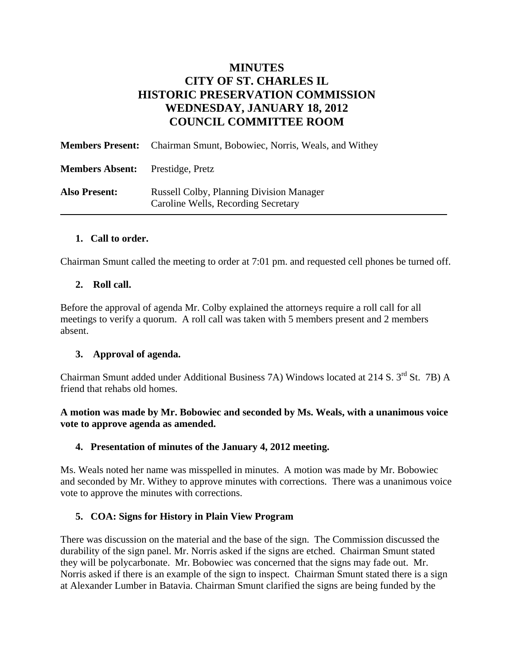# **MINUTES CITY OF ST. CHARLES IL HISTORIC PRESERVATION COMMISSION WEDNESDAY, JANUARY 18, 2012 COUNCIL COMMITTEE ROOM**

|                                         | <b>Members Present:</b> Chairman Smunt, Bobowiec, Norris, Weals, and Withey            |
|-----------------------------------------|----------------------------------------------------------------------------------------|
| <b>Members Absent:</b> Prestidge, Pretz |                                                                                        |
| <b>Also Present:</b>                    | <b>Russell Colby, Planning Division Manager</b><br>Caroline Wells, Recording Secretary |

#### **1. Call to order.**

Chairman Smunt called the meeting to order at 7:01 pm. and requested cell phones be turned off.

# **2. Roll call.**

Before the approval of agenda Mr. Colby explained the attorneys require a roll call for all meetings to verify a quorum. A roll call was taken with 5 members present and 2 members absent.

# **3. Approval of agenda.**

Chairman Smunt added under Additional Business 7A) Windows located at 214 S. 3<sup>rd</sup> St. 7B) A friend that rehabs old homes.

#### **A motion was made by Mr. Bobowiec and seconded by Ms. Weals, with a unanimous voice vote to approve agenda as amended.**

# **4. Presentation of minutes of the January 4, 2012 meeting.**

Ms. Weals noted her name was misspelled in minutes. A motion was made by Mr. Bobowiec and seconded by Mr. Withey to approve minutes with corrections. There was a unanimous voice vote to approve the minutes with corrections.

# **5. COA: Signs for History in Plain View Program**

There was discussion on the material and the base of the sign. The Commission discussed the durability of the sign panel. Mr. Norris asked if the signs are etched. Chairman Smunt stated they will be polycarbonate. Mr. Bobowiec was concerned that the signs may fade out. Mr. Norris asked if there is an example of the sign to inspect. Chairman Smunt stated there is a sign at Alexander Lumber in Batavia. Chairman Smunt clarified the signs are being funded by the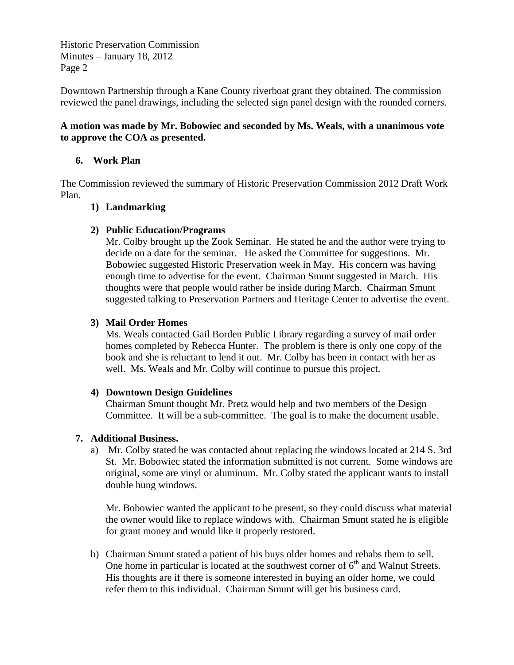Historic Preservation Commission Minutes – January 18, 2012 Page 2

Downtown Partnership through a Kane County riverboat grant they obtained. The commission reviewed the panel drawings, including the selected sign panel design with the rounded corners.

#### **A motion was made by Mr. Bobowiec and seconded by Ms. Weals, with a unanimous vote to approve the COA as presented.**

#### **6. Work Plan**

The Commission reviewed the summary of Historic Preservation Commission 2012 Draft Work Plan.

#### **1) Landmarking**

#### **2) Public Education/Programs**

Mr. Colby brought up the Zook Seminar. He stated he and the author were trying to decide on a date for the seminar. He asked the Committee for suggestions. Mr. Bobowiec suggested Historic Preservation week in May. His concern was having enough time to advertise for the event. Chairman Smunt suggested in March. His thoughts were that people would rather be inside during March. Chairman Smunt suggested talking to Preservation Partners and Heritage Center to advertise the event.

#### **3) Mail Order Homes**

Ms. Weals contacted Gail Borden Public Library regarding a survey of mail order homes completed by Rebecca Hunter. The problem is there is only one copy of the book and she is reluctant to lend it out. Mr. Colby has been in contact with her as well. Ms. Weals and Mr. Colby will continue to pursue this project.

#### **4) Downtown Design Guidelines**

Chairman Smunt thought Mr. Pretz would help and two members of the Design Committee. It will be a sub-committee. The goal is to make the document usable.

#### **7. Additional Business.**

a) Mr. Colby stated he was contacted about replacing the windows located at 214 S. 3rd St. Mr. Bobowiec stated the information submitted is not current. Some windows are original, some are vinyl or aluminum. Mr. Colby stated the applicant wants to install double hung windows.

Mr. Bobowiec wanted the applicant to be present, so they could discuss what material the owner would like to replace windows with. Chairman Smunt stated he is eligible for grant money and would like it properly restored.

b) Chairman Smunt stated a patient of his buys older homes and rehabs them to sell. One home in particular is located at the southwest corner of  $6<sup>th</sup>$  and Walnut Streets. His thoughts are if there is someone interested in buying an older home, we could refer them to this individual. Chairman Smunt will get his business card.